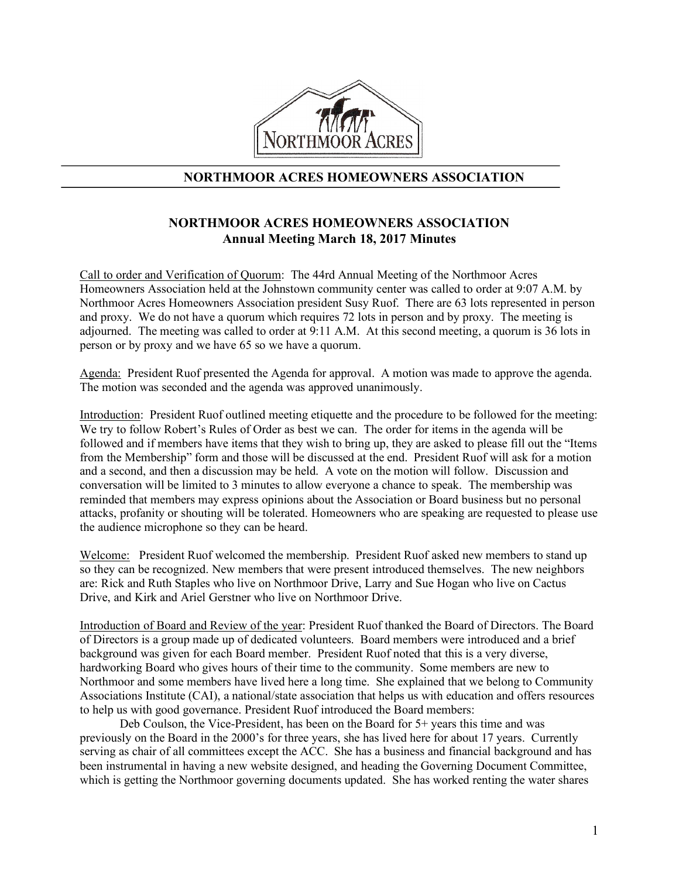

## **NORTHMOOR ACRES HOMEOWNERS ASSOCIATION**

# **NORTHMOOR ACRES HOMEOWNERS ASSOCIATION Annual Meeting March 18, 2017 Minutes**

Call to order and Verification of Quorum: The 44rd Annual Meeting of the Northmoor Acres Homeowners Association held at the Johnstown community center was called to order at 9:07 A.M. by Northmoor Acres Homeowners Association president Susy Ruof. There are 63 lots represented in person and proxy. We do not have a quorum which requires 72 lots in person and by proxy. The meeting is adjourned. The meeting was called to order at 9:11 A.M. At this second meeting, a quorum is 36 lots in person or by proxy and we have 65 so we have a quorum.

Agenda: President Ruof presented the Agenda for approval. A motion was made to approve the agenda. The motion was seconded and the agenda was approved unanimously.

Introduction: President Ruof outlined meeting etiquette and the procedure to be followed for the meeting: We try to follow Robert's Rules of Order as best we can. The order for items in the agenda will be followed and if members have items that they wish to bring up, they are asked to please fill out the "Items from the Membership" form and those will be discussed at the end. President Ruof will ask for a motion and a second, and then a discussion may be held. A vote on the motion will follow. Discussion and conversation will be limited to 3 minutes to allow everyone a chance to speak. The membership was reminded that members may express opinions about the Association or Board business but no personal attacks, profanity or shouting will be tolerated. Homeowners who are speaking are requested to please use the audience microphone so they can be heard.

Welcome: President Ruof welcomed the membership. President Ruof asked new members to stand up so they can be recognized. New members that were present introduced themselves. The new neighbors are: Rick and Ruth Staples who live on Northmoor Drive, Larry and Sue Hogan who live on Cactus Drive, and Kirk and Ariel Gerstner who live on Northmoor Drive.

Introduction of Board and Review of the year: President Ruof thanked the Board of Directors. The Board of Directors is a group made up of dedicated volunteers. Board members were introduced and a brief background was given for each Board member. President Ruof noted that this is a very diverse, hardworking Board who gives hours of their time to the community. Some members are new to Northmoor and some members have lived here a long time. She explained that we belong to Community Associations Institute (CAI), a national/state association that helps us with education and offers resources to help us with good governance. President Ruof introduced the Board members:

Deb Coulson, the Vice-President, has been on the Board for 5+ years this time and was previously on the Board in the 2000's for three years, she has lived here for about 17 years. Currently serving as chair of all committees except the ACC. She has a business and financial background and has been instrumental in having a new website designed, and heading the Governing Document Committee, which is getting the Northmoor governing documents updated. She has worked renting the water shares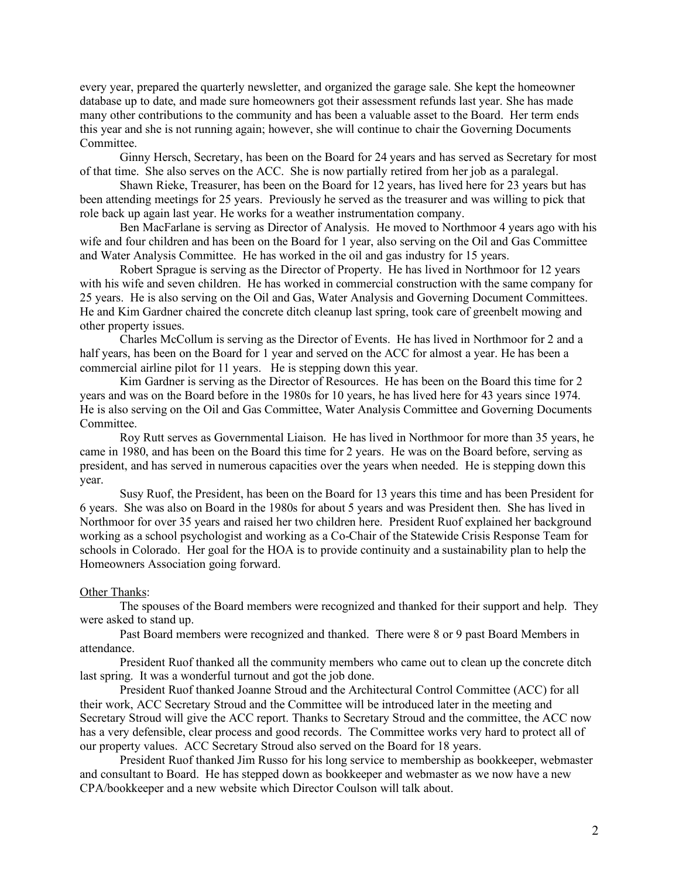every year, prepared the quarterly newsletter, and organized the garage sale. She kept the homeowner database up to date, and made sure homeowners got their assessment refunds last year. She has made many other contributions to the community and has been a valuable asset to the Board. Her term ends this year and she is not running again; however, she will continue to chair the Governing Documents **Committee** 

Ginny Hersch, Secretary, has been on the Board for 24 years and has served as Secretary for most of that time. She also serves on the ACC. She is now partially retired from her job as a paralegal.

Shawn Rieke, Treasurer, has been on the Board for 12 years, has lived here for 23 years but has been attending meetings for 25 years. Previously he served as the treasurer and was willing to pick that role back up again last year. He works for a weather instrumentation company.

Ben MacFarlane is serving as Director of Analysis. He moved to Northmoor 4 years ago with his wife and four children and has been on the Board for 1 year, also serving on the Oil and Gas Committee and Water Analysis Committee. He has worked in the oil and gas industry for 15 years.

Robert Sprague is serving as the Director of Property. He has lived in Northmoor for 12 years with his wife and seven children. He has worked in commercial construction with the same company for 25 years. He is also serving on the Oil and Gas, Water Analysis and Governing Document Committees. He and Kim Gardner chaired the concrete ditch cleanup last spring, took care of greenbelt mowing and other property issues.

Charles McCollum is serving as the Director of Events. He has lived in Northmoor for 2 and a half years, has been on the Board for 1 year and served on the ACC for almost a year. He has been a commercial airline pilot for 11 years. He is stepping down this year.

Kim Gardner is serving as the Director of Resources. He has been on the Board this time for 2 years and was on the Board before in the 1980s for 10 years, he has lived here for 43 years since 1974. He is also serving on the Oil and Gas Committee, Water Analysis Committee and Governing Documents Committee.

Roy Rutt serves as Governmental Liaison. He has lived in Northmoor for more than 35 years, he came in 1980, and has been on the Board this time for 2 years. He was on the Board before, serving as president, and has served in numerous capacities over the years when needed. He is stepping down this year.

Susy Ruof, the President, has been on the Board for 13 years this time and has been President for 6 years. She was also on Board in the 1980s for about 5 years and was President then. She has lived in Northmoor for over 35 years and raised her two children here. President Ruof explained her background working as a school psychologist and working as a Co-Chair of the Statewide Crisis Response Team for schools in Colorado. Her goal for the HOA is to provide continuity and a sustainability plan to help the Homeowners Association going forward.

## Other Thanks:

The spouses of the Board members were recognized and thanked for their support and help. They were asked to stand up.

Past Board members were recognized and thanked. There were 8 or 9 past Board Members in attendance.

President Ruof thanked all the community members who came out to clean up the concrete ditch last spring. It was a wonderful turnout and got the job done.

President Ruof thanked Joanne Stroud and the Architectural Control Committee (ACC) for all their work, ACC Secretary Stroud and the Committee will be introduced later in the meeting and Secretary Stroud will give the ACC report. Thanks to Secretary Stroud and the committee, the ACC now has a very defensible, clear process and good records. The Committee works very hard to protect all of our property values. ACC Secretary Stroud also served on the Board for 18 years.

President Ruof thanked Jim Russo for his long service to membership as bookkeeper, webmaster and consultant to Board. He has stepped down as bookkeeper and webmaster as we now have a new CPA/bookkeeper and a new website which Director Coulson will talk about.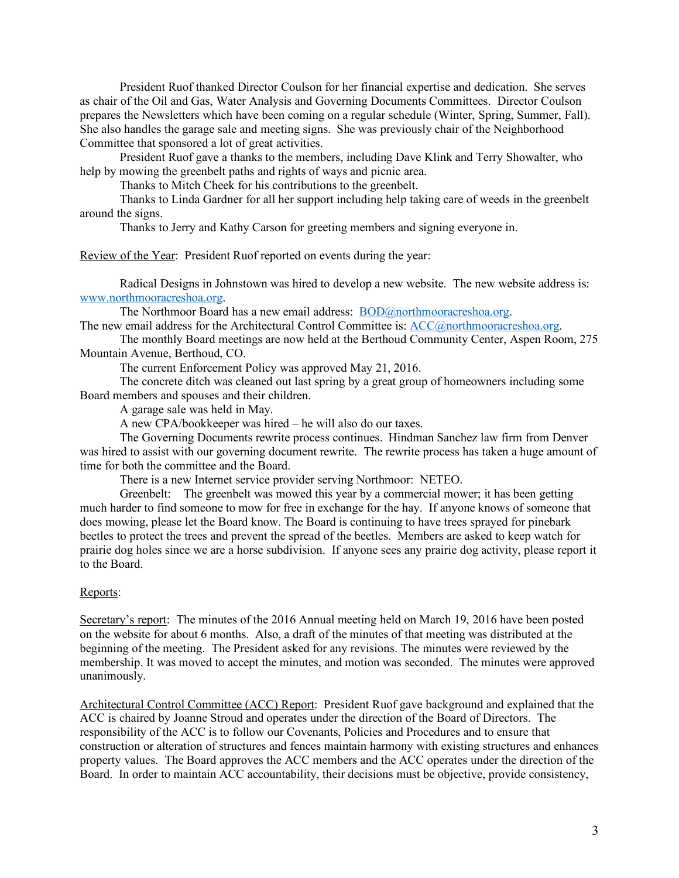President Ruof thanked Director Coulson for her financial expertise and dedication. She serves as chair of the Oil and Gas, Water Analysis and Governing Documents Committees. Director Coulson prepares the Newsletters which have been coming on a regular schedule (Winter, Spring, Summer, Fall). She also handles the garage sale and meeting signs. She was previously chair of the Neighborhood Committee that sponsored a lot of great activities.

President Ruof gave a thanks to the members, including Dave Klink and Terry Showalter, who help by mowing the greenbelt paths and rights of ways and picnic area.

Thanks to Mitch Cheek for his contributions to the greenbelt.

Thanks to Linda Gardner for all her support including help taking care of weeds in the greenbelt around the signs.

Thanks to Jerry and Kathy Carson for greeting members and signing everyone in.

Review of the Year: President Ruof reported on events during the year:

Radical Designs in Johnstown was hired to develop a new website. The new website address is: www.northmooracreshoa.org.

The Northmoor Board has a new email address: BOD@northmooracreshoa.org.

The new email address for the Architectural Control Committee is: ACC@northmooracreshoa.org. The monthly Board meetings are now held at the Berthoud Community Center, Aspen Room, 275

Mountain Avenue, Berthoud, CO.

The current Enforcement Policy was approved May 21, 2016.

The concrete ditch was cleaned out last spring by a great group of homeowners including some Board members and spouses and their children.

A garage sale was held in May.

A new CPA/bookkeeper was hired – he will also do our taxes.

The Governing Documents rewrite process continues. Hindman Sanchez law firm from Denver was hired to assist with our governing document rewrite. The rewrite process has taken a huge amount of time for both the committee and the Board.

There is a new Internet service provider serving Northmoor: NETEO.

Greenbelt: The greenbelt was mowed this year by a commercial mower; it has been getting much harder to find someone to mow for free in exchange for the hay. If anyone knows of someone that does mowing, please let the Board know. The Board is continuing to have trees sprayed for pinebark beetles to protect the trees and prevent the spread of the beetles. Members are asked to keep watch for prairie dog holes since we are a horse subdivision. If anyone sees any prairie dog activity, please report it to the Board.

## Reports:

Secretary's report: The minutes of the 2016 Annual meeting held on March 19, 2016 have been posted on the website for about 6 months. Also, a draft of the minutes of that meeting was distributed at the beginning of the meeting. The President asked for any revisions. The minutes were reviewed by the membership. It was moved to accept the minutes, and motion was seconded. The minutes were approved unanimously.

Architectural Control Committee (ACC) Report: President Ruof gave background and explained that the ACC is chaired by Joanne Stroud and operates under the direction of the Board of Directors. The responsibility of the ACC is to follow our Covenants, Policies and Procedures and to ensure that construction or alteration of structures and fences maintain harmony with existing structures and enhances property values. The Board approves the ACC members and the ACC operates under the direction of the Board. In order to maintain ACC accountability, their decisions must be objective, provide consistency,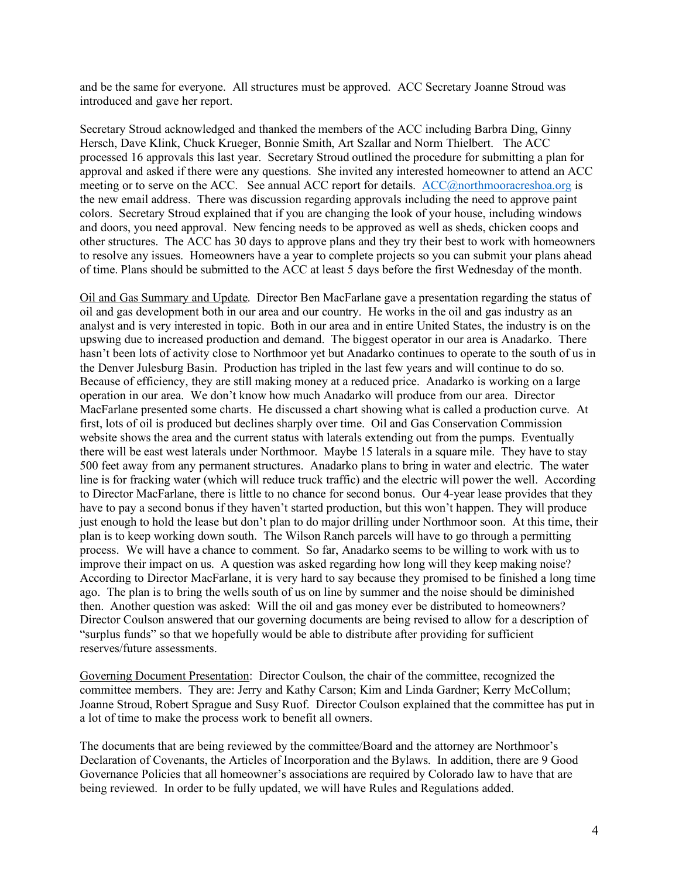and be the same for everyone. All structures must be approved. ACC Secretary Joanne Stroud was introduced and gave her report.

Secretary Stroud acknowledged and thanked the members of the ACC including Barbra Ding, Ginny Hersch, Dave Klink, Chuck Krueger, Bonnie Smith, Art Szallar and Norm Thielbert. The ACC processed 16 approvals this last year. Secretary Stroud outlined the procedure for submitting a plan for approval and asked if there were any questions. She invited any interested homeowner to attend an ACC meeting or to serve on the ACC. See annual ACC report for details. ACC@northmooracreshoa.org is the new email address. There was discussion regarding approvals including the need to approve paint colors. Secretary Stroud explained that if you are changing the look of your house, including windows and doors, you need approval. New fencing needs to be approved as well as sheds, chicken coops and other structures. The ACC has 30 days to approve plans and they try their best to work with homeowners to resolve any issues. Homeowners have a year to complete projects so you can submit your plans ahead of time. Plans should be submitted to the ACC at least 5 days before the first Wednesday of the month.

Oil and Gas Summary and Update. Director Ben MacFarlane gave a presentation regarding the status of oil and gas development both in our area and our country. He works in the oil and gas industry as an analyst and is very interested in topic. Both in our area and in entire United States, the industry is on the upswing due to increased production and demand. The biggest operator in our area is Anadarko. There hasn't been lots of activity close to Northmoor yet but Anadarko continues to operate to the south of us in the Denver Julesburg Basin. Production has tripled in the last few years and will continue to do so. Because of efficiency, they are still making money at a reduced price. Anadarko is working on a large operation in our area. We don't know how much Anadarko will produce from our area. Director MacFarlane presented some charts. He discussed a chart showing what is called a production curve. At first, lots of oil is produced but declines sharply over time. Oil and Gas Conservation Commission website shows the area and the current status with laterals extending out from the pumps. Eventually there will be east west laterals under Northmoor. Maybe 15 laterals in a square mile. They have to stay 500 feet away from any permanent structures. Anadarko plans to bring in water and electric. The water line is for fracking water (which will reduce truck traffic) and the electric will power the well. According to Director MacFarlane, there is little to no chance for second bonus. Our 4-year lease provides that they have to pay a second bonus if they haven't started production, but this won't happen. They will produce just enough to hold the lease but don't plan to do major drilling under Northmoor soon. At this time, their plan is to keep working down south. The Wilson Ranch parcels will have to go through a permitting process. We will have a chance to comment. So far, Anadarko seems to be willing to work with us to improve their impact on us. A question was asked regarding how long will they keep making noise? According to Director MacFarlane, it is very hard to say because they promised to be finished a long time ago. The plan is to bring the wells south of us on line by summer and the noise should be diminished then. Another question was asked: Will the oil and gas money ever be distributed to homeowners? Director Coulson answered that our governing documents are being revised to allow for a description of "surplus funds" so that we hopefully would be able to distribute after providing for sufficient reserves/future assessments.

Governing Document Presentation: Director Coulson, the chair of the committee, recognized the committee members. They are: Jerry and Kathy Carson; Kim and Linda Gardner; Kerry McCollum; Joanne Stroud, Robert Sprague and Susy Ruof. Director Coulson explained that the committee has put in a lot of time to make the process work to benefit all owners.

The documents that are being reviewed by the committee/Board and the attorney are Northmoor's Declaration of Covenants, the Articles of Incorporation and the Bylaws. In addition, there are 9 Good Governance Policies that all homeowner's associations are required by Colorado law to have that are being reviewed. In order to be fully updated, we will have Rules and Regulations added.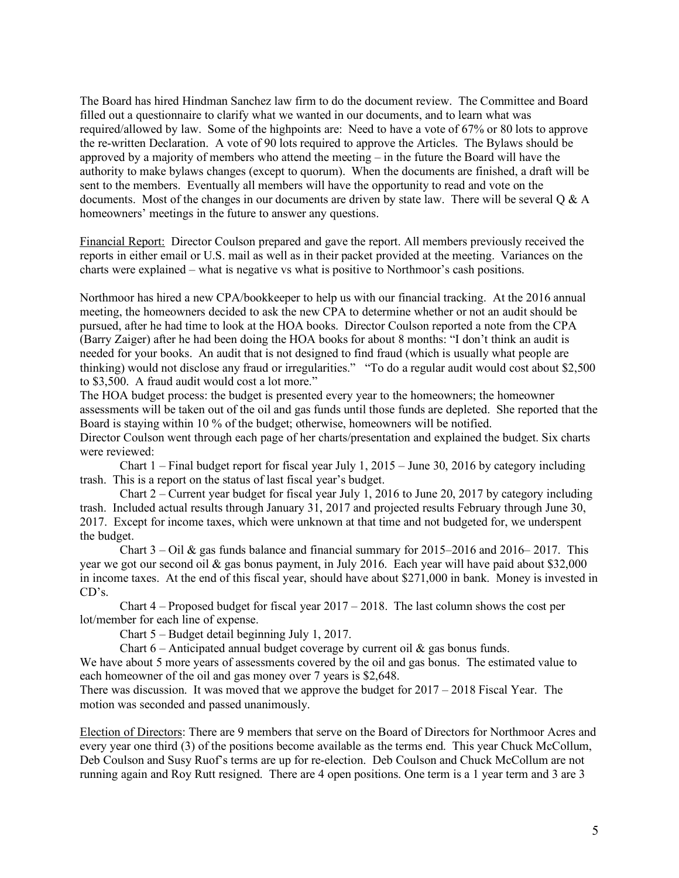The Board has hired Hindman Sanchez law firm to do the document review. The Committee and Board filled out a questionnaire to clarify what we wanted in our documents, and to learn what was required/allowed by law. Some of the highpoints are: Need to have a vote of 67% or 80 lots to approve the re-written Declaration. A vote of 90 lots required to approve the Articles. The Bylaws should be approved by a majority of members who attend the meeting – in the future the Board will have the authority to make bylaws changes (except to quorum). When the documents are finished, a draft will be sent to the members. Eventually all members will have the opportunity to read and vote on the documents. Most of the changes in our documents are driven by state law. There will be several Q & A homeowners' meetings in the future to answer any questions.

Financial Report: Director Coulson prepared and gave the report. All members previously received the reports in either email or U.S. mail as well as in their packet provided at the meeting. Variances on the charts were explained – what is negative vs what is positive to Northmoor's cash positions.

Northmoor has hired a new CPA/bookkeeper to help us with our financial tracking. At the 2016 annual meeting, the homeowners decided to ask the new CPA to determine whether or not an audit should be pursued, after he had time to look at the HOA books. Director Coulson reported a note from the CPA (Barry Zaiger) after he had been doing the HOA books for about 8 months: "I don't think an audit is needed for your books. An audit that is not designed to find fraud (which is usually what people are thinking) would not disclose any fraud or irregularities." "To do a regular audit would cost about \$2,500 to \$3,500. A fraud audit would cost a lot more."

The HOA budget process: the budget is presented every year to the homeowners; the homeowner assessments will be taken out of the oil and gas funds until those funds are depleted. She reported that the Board is staying within 10 % of the budget; otherwise, homeowners will be notified. Director Coulson went through each page of her charts/presentation and explained the budget. Six charts were reviewed:

Chart 1 – Final budget report for fiscal year July 1, 2015 – June 30, 2016 by category including trash. This is a report on the status of last fiscal year's budget.

Chart 2 – Current year budget for fiscal year July 1, 2016 to June 20, 2017 by category including trash. Included actual results through January 31, 2017 and projected results February through June 30, 2017. Except for income taxes, which were unknown at that time and not budgeted for, we underspent the budget.

Chart  $3 -$  Oil & gas funds balance and financial summary for  $2015-2016$  and  $2016-2017$ . This year we got our second oil & gas bonus payment, in July 2016. Each year will have paid about \$32,000 in income taxes. At the end of this fiscal year, should have about \$271,000 in bank. Money is invested in CD's.

Chart  $4$  – Proposed budget for fiscal year  $2017 - 2018$ . The last column shows the cost per lot/member for each line of expense.

Chart 5 – Budget detail beginning July 1, 2017.

Chart  $6$  – Anticipated annual budget coverage by current oil  $\&$  gas bonus funds.

We have about 5 more years of assessments covered by the oil and gas bonus. The estimated value to each homeowner of the oil and gas money over 7 years is \$2,648.

There was discussion. It was moved that we approve the budget for 2017 – 2018 Fiscal Year. The motion was seconded and passed unanimously.

Election of Directors: There are 9 members that serve on the Board of Directors for Northmoor Acres and every year one third (3) of the positions become available as the terms end. This year Chuck McCollum, Deb Coulson and Susy Ruof's terms are up for re-election. Deb Coulson and Chuck McCollum are not running again and Roy Rutt resigned. There are 4 open positions. One term is a 1 year term and 3 are 3